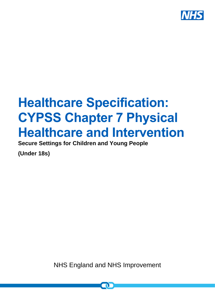

# **Healthcare Specification: CYPSS Chapter 7 Physical Healthcare and Intervention**

**Secure Settings for Children and Young People**

**(Under 18s)**

NHS England and NHS Improvement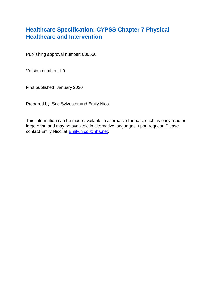## **Healthcare Specification: CYPSS Chapter 7 Physical Healthcare and Intervention**

Publishing approval number: 000566

Version number: 1.0

First published: January 2020

Prepared by: Sue Sylvester and Emily Nicol

This information can be made available in alternative formats, such as easy read or large print, and may be available in alternative languages, upon request. Please contact Emily Nicol at **Emily.nicol@nhs.net.**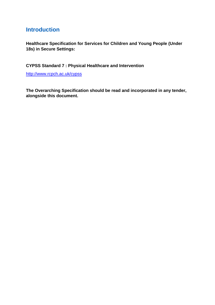### **Introduction**

**Healthcare Specification for Services for Children and Young People (Under 18s) in Secure Settings:** 

**CYPSS Standard 7 : Physical Healthcare and Intervention** 

<http://www.rcpch.ac.uk/cypss>

**The Overarching Specification should be read and incorporated in any tender, alongside this document.**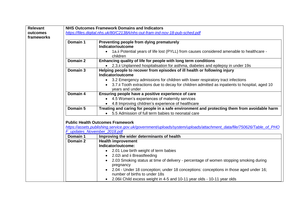| <b>Relevant</b> | <b>NHS Outcomes Framework Domains and Indicators</b>                         |                                                                                                                     |  |  |  |  |
|-----------------|------------------------------------------------------------------------------|---------------------------------------------------------------------------------------------------------------------|--|--|--|--|
| outcomes        | https://files.digital.nhs.uk/80/C2138A/nhs-out-fram-ind-nov-18-pub-sched.pdf |                                                                                                                     |  |  |  |  |
| frameworks      |                                                                              |                                                                                                                     |  |  |  |  |
|                 | Domain 1                                                                     | Preventing people from dying prematurely                                                                            |  |  |  |  |
|                 |                                                                              | Indicator/outcome                                                                                                   |  |  |  |  |
|                 |                                                                              | • 1a.ii Potential years of life lost (PYLL) from causes considered amenable to healthcare -                         |  |  |  |  |
|                 |                                                                              | children                                                                                                            |  |  |  |  |
|                 | Domain 2                                                                     | Enhancing quality of life for people with long term conditions                                                      |  |  |  |  |
|                 |                                                                              | • 2.3. ii Unplanned hospitalisation for asthma, diabetes and epilepsy in under 19s                                  |  |  |  |  |
|                 | Domain 3                                                                     | Helping people to recover from episodes of ill health or following injury                                           |  |  |  |  |
|                 |                                                                              | Indicator/outcome                                                                                                   |  |  |  |  |
|                 |                                                                              | • 3.2 Emergency admissions for children with lower respiratory tract infections                                     |  |  |  |  |
|                 |                                                                              | 3.7. ii Tooth extractions due to decay for children admitted as inpatients to hospital, aged 10                     |  |  |  |  |
|                 |                                                                              | years and under                                                                                                     |  |  |  |  |
|                 | Domain 4                                                                     | Ensuring people have a positive experience of care                                                                  |  |  |  |  |
|                 |                                                                              | • 4.5 Women's experiences of maternity services                                                                     |  |  |  |  |
|                 |                                                                              | • 4.8 Improving children's experience of healthcare                                                                 |  |  |  |  |
|                 | Domain 5                                                                     | Treating and caring for people in a safe environment and protecting them from avoidable harm                        |  |  |  |  |
|                 |                                                                              | 5.5 Admission of full term babies to neonatal care                                                                  |  |  |  |  |
|                 |                                                                              |                                                                                                                     |  |  |  |  |
|                 |                                                                              | <b>Public Health Outcomes Framework</b>                                                                             |  |  |  |  |
|                 |                                                                              | https://assets.publishing.service.gov.uk/government/uploads/system/uploads/attachment_data/file/750626/Table_of_PHO |  |  |  |  |
|                 | F updates November 2018.pdf                                                  |                                                                                                                     |  |  |  |  |
|                 | Domain 1                                                                     | Improving the wider determinants of health                                                                          |  |  |  |  |
|                 | Domain 2                                                                     | <b>Health improvement</b>                                                                                           |  |  |  |  |
|                 |                                                                              | Indicator/outcome:                                                                                                  |  |  |  |  |
|                 |                                                                              | • 2.01 Low birth weight of term babies                                                                              |  |  |  |  |
|                 |                                                                              | 2.02i and ii Breastfeeding                                                                                          |  |  |  |  |
|                 |                                                                              | 2.03 Smoking status at time of delivery - percentage of women stopping smoking during                               |  |  |  |  |
|                 |                                                                              | pregnancy                                                                                                           |  |  |  |  |
|                 |                                                                              | 2.04 - Under 18 conception; under 18 conceptions: conceptions in those aged under 16;                               |  |  |  |  |
|                 |                                                                              | number of births to under 18s                                                                                       |  |  |  |  |
|                 |                                                                              | • 2.06ii Child excess weight in 4-5 and 10-11 year olds - 10-11 year olds                                           |  |  |  |  |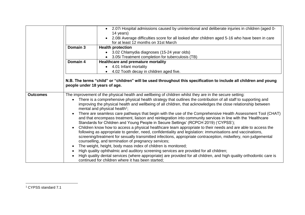|                 |                               | 2.07i Hospital admissions caused by unintentional and deliberate injuries in children (aged 0-<br>14 years)                                                                                                                |
|-----------------|-------------------------------|----------------------------------------------------------------------------------------------------------------------------------------------------------------------------------------------------------------------------|
|                 |                               | 2.08i Average difficulties score for all looked after children aged 5-16 who have been in care                                                                                                                             |
|                 |                               | for at least 12 months on 31st March                                                                                                                                                                                       |
|                 | Domain 3                      | <b>Health protection</b>                                                                                                                                                                                                   |
|                 |                               | 3.02 Chlamydia diagnoses (15-24 year olds)                                                                                                                                                                                 |
|                 |                               | 3.05i Treatment completion for tuberculosis (TB)                                                                                                                                                                           |
|                 | Domain 4                      | Healthcare and premature mortality                                                                                                                                                                                         |
|                 |                               | 4.01 Infant mortality<br>$\bullet$                                                                                                                                                                                         |
|                 |                               | 4.02 Tooth decay in children aged five.                                                                                                                                                                                    |
|                 | people under 18 years of age. | N.B. The terms "child" or "children" will be used throughout this specification to include all children and young                                                                                                          |
| <b>Outcomes</b> |                               | The improvement of the physical health and wellbeing of children whilst they are in the secure setting:                                                                                                                    |
|                 |                               | There is a comprehensive physical health strategy that outlines the contribution of all staff to supporting and                                                                                                            |
|                 |                               | improving the physical health and wellbeing of all children, that acknowledges the close relationship between<br>mental and physical health <sup>1</sup> ;                                                                 |
|                 |                               | There are seamless care pathways that begin with the use of the Comprehensive Health Assessment Tool (CHAT)                                                                                                                |
|                 |                               | and that encompass treatment, liaison and reintegration into community services in line with the 'Healthcare'<br>Standards for Children and Young People in Secure Settings' (RCPCH 2019) ('CYPSS');                       |
|                 |                               | Children know how to access a physical healthcare team appropriate to their needs and are able to access the<br>following as appropriate to gender, need, confidentiality and legislation: immunisations and vaccinations, |
|                 |                               | screening/treatment for sexually transmitted infections, appropriate contraception, midwifery, non-judgemental<br>counselling, and termination of pregnancy services;                                                      |
|                 |                               | The weight, height, body mass index of children is monitored;                                                                                                                                                              |
|                 |                               | High quality ophthalmic and auditory screening services are provided for all children;                                                                                                                                     |
|                 |                               | High quality dental services (where appropriate) are provided for all children, and high quality orthodontic care is<br>continued for children where it has been started;                                                  |

<sup>1</sup> CYPSS standard 7.1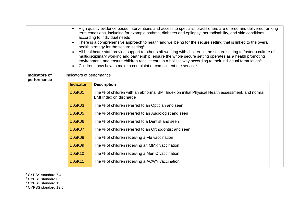| <b>Indicators of</b> | High quality evidence based interventions and access to specialist practitioners are offered and delivered for long<br>$\bullet$<br>term conditions, including for example asthma, diabetes and epilepsy, neurodisability, and skin conditions,<br>according to individual needs <sup>2</sup> ;<br>There is a comprehensive approach to health and wellbeing for the secure setting that is linked to the overall<br>$\bullet$<br>health strategy for the secure setting <sup>3</sup> ;<br>All healthcare staff provide support to other staff working with children in the secure setting to foster a culture of<br>multidisciplinary working and partnership, ensure the whole secure setting operates as a health promoting<br>environment, and ensure children receive care in a holistic way according to their individual formulation <sup>4</sup> ;<br>Children know how to make a complaint or compliment the service <sup>5</sup> .<br>$\bullet$<br>Indicators of performance |                                                                                                                          |  |
|----------------------|----------------------------------------------------------------------------------------------------------------------------------------------------------------------------------------------------------------------------------------------------------------------------------------------------------------------------------------------------------------------------------------------------------------------------------------------------------------------------------------------------------------------------------------------------------------------------------------------------------------------------------------------------------------------------------------------------------------------------------------------------------------------------------------------------------------------------------------------------------------------------------------------------------------------------------------------------------------------------------------|--------------------------------------------------------------------------------------------------------------------------|--|
| performance          | <b>Indicator</b>                                                                                                                                                                                                                                                                                                                                                                                                                                                                                                                                                                                                                                                                                                                                                                                                                                                                                                                                                                       | <b>Description</b>                                                                                                       |  |
|                      |                                                                                                                                                                                                                                                                                                                                                                                                                                                                                                                                                                                                                                                                                                                                                                                                                                                                                                                                                                                        |                                                                                                                          |  |
|                      | <b>D05K01</b>                                                                                                                                                                                                                                                                                                                                                                                                                                                                                                                                                                                                                                                                                                                                                                                                                                                                                                                                                                          | The % of children with an abnormal BMI Index on initial Physical Health assessment, and normal<br>BMI Index on discharge |  |
|                      | <b>D05K03</b>                                                                                                                                                                                                                                                                                                                                                                                                                                                                                                                                                                                                                                                                                                                                                                                                                                                                                                                                                                          | The % of children referred to an Optician and seen                                                                       |  |
|                      | <b>D05K05</b>                                                                                                                                                                                                                                                                                                                                                                                                                                                                                                                                                                                                                                                                                                                                                                                                                                                                                                                                                                          | The % of children referred to an Audiologist and seen                                                                    |  |
|                      | <b>D05K06</b>                                                                                                                                                                                                                                                                                                                                                                                                                                                                                                                                                                                                                                                                                                                                                                                                                                                                                                                                                                          | The % of children referred to a Dentist and seen                                                                         |  |
|                      | <b>D05K07</b>                                                                                                                                                                                                                                                                                                                                                                                                                                                                                                                                                                                                                                                                                                                                                                                                                                                                                                                                                                          | The % of children referred to an Orthodontist and seen                                                                   |  |
|                      | <b>D05K08</b>                                                                                                                                                                                                                                                                                                                                                                                                                                                                                                                                                                                                                                                                                                                                                                                                                                                                                                                                                                          | The % of children receiving a Flu vaccination                                                                            |  |
|                      | <b>D05K09</b>                                                                                                                                                                                                                                                                                                                                                                                                                                                                                                                                                                                                                                                                                                                                                                                                                                                                                                                                                                          | The % of children receiving an MMR vaccination                                                                           |  |
|                      | <b>D05K10</b>                                                                                                                                                                                                                                                                                                                                                                                                                                                                                                                                                                                                                                                                                                                                                                                                                                                                                                                                                                          | The % of children receiving a Men C vaccination                                                                          |  |
|                      | D05K11                                                                                                                                                                                                                                                                                                                                                                                                                                                                                                                                                                                                                                                                                                                                                                                                                                                                                                                                                                                 | The % of children receiving a ACWY vaccination                                                                           |  |

#### 1 <sup>2</sup> CYPSS standard 7.4

- <sup>3</sup> CYPSS standard 6.5
- <sup>4</sup> CYPSS standard 13
- <sup>5</sup> CYPSS standard 13.5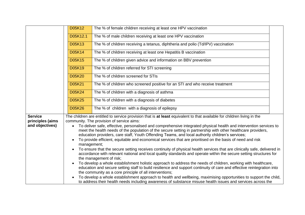|                                    | <b>D05K12</b> | The % of female children receiving at least one HPV vaccination                                                                                                                                                                                |  |
|------------------------------------|---------------|------------------------------------------------------------------------------------------------------------------------------------------------------------------------------------------------------------------------------------------------|--|
|                                    | D05K12.1      | The % of male children receiving at least one HPV vaccination                                                                                                                                                                                  |  |
|                                    | <b>D05K13</b> | The % of children receiving a tetanus, diphtheria and polio (Td/IPV) vaccination                                                                                                                                                               |  |
|                                    | D05K14        | The % of children receiving at least one Hepatitis B vaccination                                                                                                                                                                               |  |
|                                    | <b>D05K15</b> | The % of children given advice and information on BBV prevention                                                                                                                                                                               |  |
|                                    | D05K19        | The % of children referred for STI screening                                                                                                                                                                                                   |  |
|                                    | <b>D05K20</b> | The % of children screened for STIs                                                                                                                                                                                                            |  |
|                                    | D05K21        | The % of children who screened positive for an STI and who receive treatment                                                                                                                                                                   |  |
|                                    | D05K24        | The % of children with a diagnosis of asthma                                                                                                                                                                                                   |  |
|                                    | <b>D05K25</b> | The % of children with a diagnosis of diabetes                                                                                                                                                                                                 |  |
|                                    | <b>D05K26</b> | The % of children with a diagnosis of epilepsy                                                                                                                                                                                                 |  |
| <b>Service</b><br>principles (aims |               | The children are entitled to service provision that is at least equivalent to that available for children living in the<br>community. The provision of service aims:                                                                           |  |
| and objectives)                    |               | To deliver safe, effective, personalised and comprehensive integrated physical health and intervention services to                                                                                                                             |  |
|                                    |               | meet the health needs of the population of the secure setting in partnership with other healthcare providers,<br>education providers, care staff, Youth Offending Teams, and local authority children's services;                              |  |
|                                    |               | To provide efficient, equitable and economical services that are prioritised on the basis of need and risk                                                                                                                                     |  |
|                                    | management;   |                                                                                                                                                                                                                                                |  |
|                                    |               | To ensure that the secure setting receives continuity of physical health services that are clinically safe, delivered in<br>accordance with relevant national and local quality standards and operate within the secure setting structures for |  |
|                                    |               | the management of risk;                                                                                                                                                                                                                        |  |
|                                    |               | To develop a whole establishment holistic approach to address the needs of children, working with healthcare,                                                                                                                                  |  |
|                                    |               | education and secure setting staff to build resilience and support continuity of care and effective reintegration into                                                                                                                         |  |
|                                    |               | the community as a core principle of all interventions;<br>To develop a whole establishment approach to health and wellbeing, maximising opportunities to support the child,                                                                   |  |
|                                    |               | to address their health needs including awareness of substance misuse health issues and services across the                                                                                                                                    |  |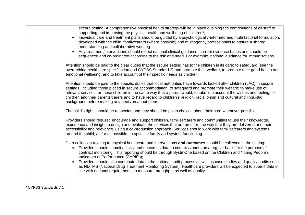| secure setting. A comprehensive physical health strategy will be in place outlining the contributions of all staff to<br>supporting and improving the physical health and wellbeing of children <sup>6</sup> ;<br>Individual care and treatment plans should be guided by a psychologically-informed and multi-factorial formulation,<br>developed with the child, family/carers (where possible) and multiagency professionals to ensure a shared<br>understanding and collaborative working.<br>Any treatment/interventions should reflect national clinical guidance, current evidence bases and should be<br>sequenced and co-ordinated according to the risk and need. For example, national guidance for immunisations. |
|-------------------------------------------------------------------------------------------------------------------------------------------------------------------------------------------------------------------------------------------------------------------------------------------------------------------------------------------------------------------------------------------------------------------------------------------------------------------------------------------------------------------------------------------------------------------------------------------------------------------------------------------------------------------------------------------------------------------------------|
| Attention should be paid to the clear duties that the secure setting has to the children in its care: to safeguard (see the<br>overarching healthcare specification and CYPSS Standard 2) and promote their welfare, to promote their good health and<br>emotional wellbeing, and to take account of their specific needs as children.                                                                                                                                                                                                                                                                                                                                                                                        |
| Attention should be paid to the specific duties that local authorities have towards looked after children (LAC) in secure<br>settings, including those placed in secure accommodation: to safeguard and promote their welfare; to make use of<br>relevant services for these children in the same way that a parent would; to take into account the wishes and feelings of<br>children and their parents/carers and to have regard to children's religion, racial origin and cultural and linguistic<br>background before making any decision about them.                                                                                                                                                                     |
| The child's rights should be respected and they should be given choices about their care whenever possible.                                                                                                                                                                                                                                                                                                                                                                                                                                                                                                                                                                                                                   |
| Providers should request, encourage and support children, families/carers and communities to use their knowledge,<br>experience and insight to design and evaluate the services that are on offer, the way that they are delivered and their<br>accessibility and relevance, using a co-production approach. Services should work with families/carers and systems<br>around the child, as far as possible, to optimise family and system functioning.                                                                                                                                                                                                                                                                        |
| Data collection relating to physical healthcare and interventions and outcomes should be collected in the setting:<br>Providers should submit activity and outcomes data to commissioners on a regular basis for the purpose of<br>$\bullet$<br>contract monitoring. This reporting should be through SystmOne based on the Children and Young People's<br>Indicators of Performance (CYPIPs);<br>Providers should also contribute data to the national audit process as well as case studies and quality audits such<br>as NDTMS (National Drug Treatment Monitoring System). Healthcare providers will be expected to submit data in<br>line with national requirements to measure throughput as well as quality.           |

<sup>6</sup> CYPSS Standards 7.1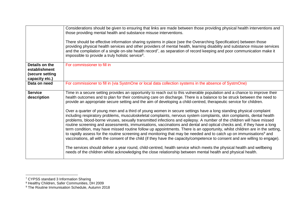|                                                                      | Considerations should be given to ensuring that links are made between those providing physical health interventions and<br>those providing mental health and substance misuse interventions.<br>There should be effective information sharing systems in place (see the Overarching Specification) between those<br>providing physical health services and other providers of mental health, learning disability and substance misuse services<br>and the compilation of a single on-site health record <sup>7</sup> , as separation of record keeping and poor communication make it<br>impossible to provide a truly holistic service <sup>8</sup> .                                                                                                                                                                                                                                                                                                                                                                                                                                                                                                                                                                                                                                                                                                                                                                                                                                                                 |
|----------------------------------------------------------------------|-------------------------------------------------------------------------------------------------------------------------------------------------------------------------------------------------------------------------------------------------------------------------------------------------------------------------------------------------------------------------------------------------------------------------------------------------------------------------------------------------------------------------------------------------------------------------------------------------------------------------------------------------------------------------------------------------------------------------------------------------------------------------------------------------------------------------------------------------------------------------------------------------------------------------------------------------------------------------------------------------------------------------------------------------------------------------------------------------------------------------------------------------------------------------------------------------------------------------------------------------------------------------------------------------------------------------------------------------------------------------------------------------------------------------------------------------------------------------------------------------------------------------|
| Details on the<br>establishment<br>(secure setting<br>capacity etc.) | For commissioner to fill in                                                                                                                                                                                                                                                                                                                                                                                                                                                                                                                                                                                                                                                                                                                                                                                                                                                                                                                                                                                                                                                                                                                                                                                                                                                                                                                                                                                                                                                                                             |
| Data on need                                                         | For commissioner to fill in (via SystmOne or local data collection systems in the absence of SystmOne)                                                                                                                                                                                                                                                                                                                                                                                                                                                                                                                                                                                                                                                                                                                                                                                                                                                                                                                                                                                                                                                                                                                                                                                                                                                                                                                                                                                                                  |
| <b>Service</b><br>description                                        | Time in a secure setting provides an opportunity to reach out to this vulnerable population and a chance to improve their<br>health outcomes and to plan for their continuing care on discharge. There is a balance to be struck between the need to<br>provide an appropriate secure setting and the aim of developing a child-centred, therapeutic service for children.<br>Over a quarter of young men and a third of young women in secure settings have a long standing physical complaint<br>including respiratory problems, musculoskeletal complaints, nervous system complaints, skin complaints, dental health<br>problems, blood-borne viruses, sexually transmitted infections and epilepsy. A number of the children will have missed<br>routine screening and assessments, immunisations, vaccinations and dental and optical checks and, if they have a long<br>term condition, may have missed routine follow up appointments. There is an opportunity, whilst children are in the setting,<br>to rapidly assess for the routine screening and monitoring that may be needed and to catch up on immunisations <sup>9</sup> and<br>vaccinations, all with the consent of the child (if they have the capacity/competence to consent and are willing to engage).<br>The services should deliver a year round, child-centred, health service which meets the physical health and wellbeing<br>needs of the children whilst acknowledging the close relationship between mental health and physical health. |

<sup>&</sup>lt;sup>7</sup> CYPSS standard 3 Information Sharing

<sup>8</sup> Healthy Children, Safer Communities, DH 2009

<sup>9</sup> The Routine Immunisation Schedule, Autumn 2018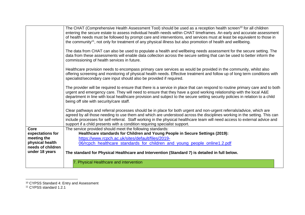|                                      | The CHAT (Comprehensive Health Assessment Tool) should be used as a reception health screen <sup>10</sup> for all children<br>entering the secure estate to assess individual health needs within CHAT timeframes. An early and accurate assessment<br>of health needs must be followed by prompt care and interventions, and services must at least be equivalent to those in<br>the community <sup>11</sup> , not only for treatment of any physical illness but also promotion of health and wellbeing. |
|--------------------------------------|------------------------------------------------------------------------------------------------------------------------------------------------------------------------------------------------------------------------------------------------------------------------------------------------------------------------------------------------------------------------------------------------------------------------------------------------------------------------------------------------------------|
|                                      | The data from CHAT can also be used to populate a health and wellbeing needs assessment for the secure setting. The<br>data from these assessments will enable data collection across the secure setting that can be used to better inform the<br>commissioning of health services in future.                                                                                                                                                                                                              |
|                                      | Healthcare provision needs to encompass primary care services as would be provided in the community, whilst also<br>offering screening and monitoring of physical health needs. Effective treatment and follow up of long term conditions with<br>specialist/secondary care input should also be provided if required.                                                                                                                                                                                     |
|                                      | The provider will be required to ensure that there is a service in place that can respond to routine primary care and to both<br>urgent and emergency care. They will need to ensure that they have a good working relationship with the local A&E<br>department in line with local healthcare provision and subject to the secure setting security policies in relation to a child<br>being off site with security/care staff.                                                                            |
|                                      | Clear pathways and referral processes should be in place for both urgent and non-urgent referrals/advice, which are<br>agreed by all those needing to use them and which are understood across the disciplines working in the setting. This can<br>include processes for self-referral. Staff working in the physical healthcare team will need access to external advice and<br>support if a child presents with a condition requiring specialist support.                                                |
| <b>Core</b>                          | The service provided should meet the following standards:                                                                                                                                                                                                                                                                                                                                                                                                                                                  |
| expectations for                     | Healthcare standards for Children and Young People in Secure Settings (2019):                                                                                                                                                                                                                                                                                                                                                                                                                              |
| meeting the                          | https://www.rcpch.ac.uk/sites/default/files/2019-                                                                                                                                                                                                                                                                                                                                                                                                                                                          |
| physical health<br>needs of children | 06/rcpch_healthcare_standards_for_children_and_young_people_online1.2.pdf                                                                                                                                                                                                                                                                                                                                                                                                                                  |
| under 18 years                       | The standard for Physical Healthcare and Intervention (Standard 7) is detailed in full below.                                                                                                                                                                                                                                                                                                                                                                                                              |
|                                      | 7. Physical Healthcare and intervention                                                                                                                                                                                                                                                                                                                                                                                                                                                                    |

<sup>10</sup> CYPSS Standard 4: Entry and Assessment

<sup>11</sup> CYPSS standard 1.2.1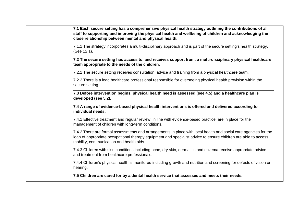**7.1 Each secure setting has a comprehensive physical health strategy outlining the contributions of all staff to supporting and improving the physical health and wellbeing of children and acknowledging the close relationship between mental and physical health.** 

7.1.1 The strategy incorporates a multi-disciplinary approach and is part of the secure setting's health strategy. (See 12.1).

**7.2 The secure setting has access to, and receives support from, a multi-disciplinary physical healthcare team appropriate to the needs of the children.** 

7.2.1 The secure setting receives consultation, advice and training from a physical healthcare team.

7.2.2 There is a lead healthcare professional responsible for overseeing physical health provision within the secure setting.

**7.3 Before intervention begins, physical health need is assessed (see 4.5) and a healthcare plan is developed (see 5.2).**

**7.4 A range of evidence-based physical health interventions is offered and delivered according to individual needs.** 

7.4.1 Effective treatment and regular review, in line with evidence-based practice, are in place for the management of children with long-term conditions.

7.4.2 There are formal assessments and arrangements in place with local health and social care agencies for the loan of appropriate occupational therapy equipment and specialist advice to ensure children are able to access mobility, communication and health aids.

7.4.3 Children with skin conditions including acne, dry skin, dermatitis and eczema receive appropriate advice and treatment from healthcare professionals.

7.4.4 Children's physical health is monitored including growth and nutrition and screening for defects of vision or hearing.

**7.5 Children are cared for by a dental health service that assesses and meets their needs.**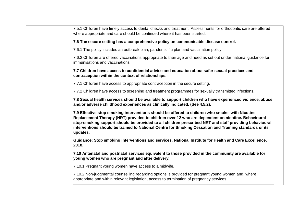| 7.5.1 Children have timely access to dental checks and treatment. Assessments for orthodontic care are offered<br>where appropriate and care should be continued where it has been started.                                                                                                                                                                                                                                          |
|--------------------------------------------------------------------------------------------------------------------------------------------------------------------------------------------------------------------------------------------------------------------------------------------------------------------------------------------------------------------------------------------------------------------------------------|
| 7.6 The secure setting has a comprehensive policy on communicable disease control.                                                                                                                                                                                                                                                                                                                                                   |
| 7.6.1 The policy includes an outbreak plan, pandemic flu plan and vaccination policy.                                                                                                                                                                                                                                                                                                                                                |
| 7.6.2 Children are offered vaccinations appropriate to their age and need as set out under national guidance for<br>immunisations and vaccinations.                                                                                                                                                                                                                                                                                  |
| 7.7 Children have access to confidential advice and education about safer sexual practices and<br>contraception within the context of relationships.                                                                                                                                                                                                                                                                                 |
| 7.7.1 Children have access to appropriate contraception in the secure setting.                                                                                                                                                                                                                                                                                                                                                       |
| 7.7.2 Children have access to screening and treatment programmes for sexually transmitted infections.                                                                                                                                                                                                                                                                                                                                |
| 7.8 Sexual health services should be available to support children who have experienced violence, abuse<br>and/or adverse childhood experiences as clinically indicated. (See 4.5.2).                                                                                                                                                                                                                                                |
| 7.9 Effective stop smoking interventions should be offered to children who smoke, with Nicotine<br>Replacement Therapy (NRT) provided to children over 12 who are dependent on nicotine. Behavioural<br>stop-smoking support should be provided to all children prescribed NRT and staff providing behavioural<br>interventions should be trained to National Centre for Smoking Cessation and Training standards or its<br>updates. |
| Guidance: Stop smoking interventions and services, National Institute for Health and Care Excellence,<br>2018.                                                                                                                                                                                                                                                                                                                       |
| 7.10 Antenatal and postnatal services equivalent to those provided in the community are available for<br>young women who are pregnant and after delivery.                                                                                                                                                                                                                                                                            |
| 7.10.1 Pregnant young women have access to a midwife.                                                                                                                                                                                                                                                                                                                                                                                |
| 7.10.2 Non-judgmental counselling regarding options is provided for pregnant young women and, where<br>appropriate and within relevant legislation, access to termination of pregnancy services.                                                                                                                                                                                                                                     |
|                                                                                                                                                                                                                                                                                                                                                                                                                                      |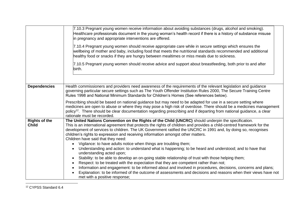|                                      | 7.10.3 Pregnant young women receive information about avoiding substances (drugs, alcohol and smoking).<br>Healthcare professionals document in the young woman's health record if there is a history of substance misuse<br>in pregnancy and appropriate interventions are offered.<br>7.10.4 Pregnant young women should receive appropriate care while in secure settings which ensures the<br>wellbeing of mother and baby, including food that meets the nutritional standards recommended and additional<br>healthy food or snacks if they are hungry between mealtimes or miss meals due to sickness.<br>7.10.5 Pregnant young women should receive advice and support about breastfeeding, both prior to and after<br>birth. |
|--------------------------------------|--------------------------------------------------------------------------------------------------------------------------------------------------------------------------------------------------------------------------------------------------------------------------------------------------------------------------------------------------------------------------------------------------------------------------------------------------------------------------------------------------------------------------------------------------------------------------------------------------------------------------------------------------------------------------------------------------------------------------------------|
| <b>Dependencies</b>                  | Health commissioners and providers need awareness of the requirements of the relevant legislation and guidance<br>governing particular secure settings such as The Youth Offender Institution Rules 2000, The Secure Training Centre<br>Rules 1998 and National Minimum Standards for Children's Homes (See references below).<br>Prescribing should be based on national guidance but may need to be adapted for use in a secure setting where                                                                                                                                                                                                                                                                                      |
|                                      | medicines are open to abuse or where they may pose a high risk of overdose. There should be a medicines management<br>policy <sup>12</sup> . There should be clear documentation regarding prescribing and if departing from national guidance, a clear<br>rationale must be recorded.                                                                                                                                                                                                                                                                                                                                                                                                                                               |
| <b>Rights of the</b><br><b>Child</b> | The United Nations Convention on the Rights of the Child (UNCRC) should underpin the specification.<br>This is an international agreement that protects the rights of children and provides a child-centred framework for the<br>development of services to children. The UK Government ratified the UNCRC in 1991 and, by doing so, recognises<br>children's rights to expression and receiving information amongst other matters.<br>Children have said that they need:<br>• Vigilance: to have adults notice when things are troubling them;                                                                                                                                                                                      |
|                                      | Understanding and action: to understand what is happening; to be heard and understood; and to have that<br>$\bullet$<br>understanding acted upon;<br>Stability: to be able to develop an on-going stable relationship of trust with those helping them;<br>$\bullet$                                                                                                                                                                                                                                                                                                                                                                                                                                                                 |
|                                      | Respect: to be treated with the expectation that they are competent rather than not;<br>Information and engagement: to be informed about and involved in procedures, decisions, concerns and plans;<br>$\bullet$<br>Explanation: to be informed of the outcome of assessments and decisions and reasons when their views have not<br>met with a positive response;                                                                                                                                                                                                                                                                                                                                                                   |
|                                      |                                                                                                                                                                                                                                                                                                                                                                                                                                                                                                                                                                                                                                                                                                                                      |

<sup>12</sup> CYPSS Standard 6.4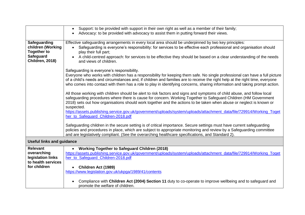|                                        | Support: to be provided with support in their own right as well as a member of their family;                                                                                                                                                                                                                                                                                              |
|----------------------------------------|-------------------------------------------------------------------------------------------------------------------------------------------------------------------------------------------------------------------------------------------------------------------------------------------------------------------------------------------------------------------------------------------|
|                                        | Advocacy: to be provided with advocacy to assist them in putting forward their views.                                                                                                                                                                                                                                                                                                     |
|                                        |                                                                                                                                                                                                                                                                                                                                                                                           |
| Safeguarding                           | Effective safeguarding arrangements in every local area should be underpinned by two key principles:                                                                                                                                                                                                                                                                                      |
| children (Working                      | Safequarding is everyone's responsibility: for services to be effective each professional and organisation should                                                                                                                                                                                                                                                                         |
| <b>Together to</b><br><b>Safeguard</b> | play their full part;                                                                                                                                                                                                                                                                                                                                                                     |
| <b>Children, 2018)</b>                 | A child-centred approach: for services to be effective they should be based on a clear understanding of the needs<br>and views of children.                                                                                                                                                                                                                                               |
|                                        | Safeguarding is everyone's responsibility.                                                                                                                                                                                                                                                                                                                                                |
|                                        | Everyone who works with children has a responsibility for keeping them safe. No single professional can have a full picture<br>of a child's needs and circumstances and, if children and families are to receive the right help at the right time, everyone<br>who comes into contact with them has a role to play in identifying concerns, sharing information and taking prompt action. |
|                                        | All those working with children should be alert to risk factors and signs and symptoms of child abuse, and follow local<br>safeguarding procedures where there is cause for concern. Working Together to Safeguard Children (HM Government<br>2018) sets out how organisations should work together and the actions to be taken when abuse or neglect is known or                         |
|                                        | suspected.                                                                                                                                                                                                                                                                                                                                                                                |
|                                        | https://assets.publishing.service.gov.uk/government/uploads/system/uploads/attachment_data/file/729914/Working_Toget                                                                                                                                                                                                                                                                      |
|                                        | her to Safeguard Children-2018.pdf                                                                                                                                                                                                                                                                                                                                                        |
|                                        | Safeguarding children in the secure setting is of critical importance. Secure settings must have current safeguarding<br>policies and procedures in place, which are subject to appropriate monitoring and review by a Safeguarding committee<br>and are legislatively compliant. (See the overarching healthcare specifications, and Standard 2).                                        |
| <b>Useful links and guidance</b>       |                                                                                                                                                                                                                                                                                                                                                                                           |
| <b>Relevant</b>                        | <b>Working Together to Safeguard Children (2018)</b>                                                                                                                                                                                                                                                                                                                                      |
| overarching                            | https://assets.publishing.service.gov.uk/government/uploads/system/uploads/attachment_data/file/729914/Working_Toget                                                                                                                                                                                                                                                                      |
| legislation links                      | her_to_Safeguard_Children-2018.pdf                                                                                                                                                                                                                                                                                                                                                        |
| to health services<br>for children     |                                                                                                                                                                                                                                                                                                                                                                                           |
|                                        | <b>Children Act (1989)</b><br>https://www.legislation.gov.uk/ukpga/1989/41/contents                                                                                                                                                                                                                                                                                                       |
|                                        |                                                                                                                                                                                                                                                                                                                                                                                           |
|                                        | Compliance with Children Act (2004) Section 11 duty to co-operate to improve wellbeing and to safeguard and<br>promote the welfare of children.                                                                                                                                                                                                                                           |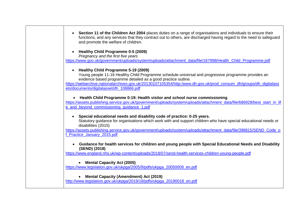| • Section 11 of the Children Act 2004 places duties on a range of organisations and individuals to ensure their<br>functions, and any services that they contract out to others, are discharged having regard to the need to safeguard<br>and promote the welfare of children.                                                                                                 |
|--------------------------------------------------------------------------------------------------------------------------------------------------------------------------------------------------------------------------------------------------------------------------------------------------------------------------------------------------------------------------------|
| Healthy Child Programme 0-5 (2009)<br>$\bullet$<br>Pregnancy and the first five years<br>https://www.gov.uk/government/uploads/system/uploads/attachment_data/file/167998/Health_Child_Programme.pdf                                                                                                                                                                           |
| • Healthy Child Programme 5-19 (2009)<br>Young people 11-16 Healthy Child Programme schedule-universal and progressive programme provides an<br>evidence based programme detailed as a good practice outline.<br>https://webarchive.nationalarchives.gov.uk/20130107105354/http:/www.dh.gov.uk/prod_consum_dh/groups/dh_digitalass<br>ets/documents/digitalasset/dh_108866.pdf |
| • Health Child Programme 0-19: Health visitor and school nurse commissioning<br>https://assets.publishing.service.gov.uk/government/uploads/system/uploads/attachment_data/file/686928/best_start_in_lif<br>e_and_beyond_commissioning_quidance_1.pdf                                                                                                                          |
| • Special educational needs and disability code of practice: 0-25 years.<br>Statutory guidance for organisations which work with and support children who have special educational needs or<br>disabilities (2015)<br>https://assets.publishing.service.gov.uk/government/uploads/system/uploads/attachment_data/file/398815/SEND_Code_o<br>f Practice January 2015.pdf        |
| • Guidance for health services for children and young people with Special Educational Needs and Disability<br>(SEND) (2018)<br>https://www.england.nhs.uk/wp-content/uploads/2018/07/send-health-services-children-young-people.pdf                                                                                                                                            |
| • Mental Capacity Act (2005)<br>https://www.legislation.gov.uk/ukpga/2005/9/pdfs/ukpga 20050009 en.pdf                                                                                                                                                                                                                                                                         |
| <b>Mental Capacity (Amendment) Act (2019)</b><br>http://www.legislation.gov.uk/ukpga/2019/18/pdfs/ukpga 20190018 en.pdf                                                                                                                                                                                                                                                        |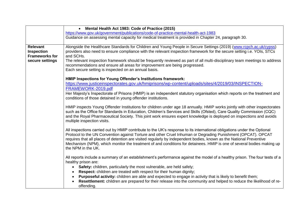|                                                                                  | • Mental Health Act 1983: Code of Practice (2015)                                                                                                                                                                                                                                                                                                                                                                                                                                                                             |
|----------------------------------------------------------------------------------|-------------------------------------------------------------------------------------------------------------------------------------------------------------------------------------------------------------------------------------------------------------------------------------------------------------------------------------------------------------------------------------------------------------------------------------------------------------------------------------------------------------------------------|
|                                                                                  | https://www.gov.uk/government/publications/code-of-practice-mental-health-act-1983                                                                                                                                                                                                                                                                                                                                                                                                                                            |
|                                                                                  | Guidance on assessing mental capacity for medical treatment is provided in Chapter 24, paragraph 30.                                                                                                                                                                                                                                                                                                                                                                                                                          |
| <b>Relevant</b><br><b>Inspection</b><br><b>Frameworks for</b><br>secure settings | Alongside the Healthcare Standards for Children and Young People in Secure Settings (2019) (www.rcpch.ac.uk/cypss)<br>providers also need to ensure compliance with the relevant inspection framework for the secure setting i.e. YOIs, STCs<br>and SCHs.<br>The relevant inspection framework should be frequently reviewed as part of all multi-disciplinary team meetings to address<br>recommendations and ensure all areas for improvement are being progressed.<br>Each secure setting is inspected on an annual basis. |
|                                                                                  | HMIP Inspections for Young Offender's Institutions framework:<br>https://www.justiceinspectorates.gov.uk/hmiprisons/wp-content/uploads/sites/4/2019/03/INSPECTION-<br>FRAMEWORK-2019.pdf                                                                                                                                                                                                                                                                                                                                      |
|                                                                                  | Her Majesty's Inspectorate of Prisons (HMIP) is an independent statutory organisation which reports on the treatment and<br>conditions of those detained in young offender institutions.                                                                                                                                                                                                                                                                                                                                      |
|                                                                                  | HMIP inspects Young Offender Institutions for children under age 18 annually. HMIP works jointly with other inspectorates<br>such as the Office for Standards in Education, Children's Services and Skills (Ofsted), Care Quality Commission (CQC)<br>and the Royal Pharmaceutical Society. This joint work ensures expert knowledge is deployed on inspections and avoids<br>multiple inspection visits.                                                                                                                     |
|                                                                                  | All inspections carried out by HMIP contribute to the UK's response to its international obligations under the Optional<br>Protocol to the UN Convention against Torture and other Cruel Inhuman or Degrading Punishment (OPCAT). OPCAT<br>requires that all places of detention are visited regularly by independent bodies, known as the National Preventive<br>Mechanism (NPM), which monitor the treatment of and conditions for detainees. HMIP is one of several bodies making up<br>the NPM in the UK.                 |
|                                                                                  | All reports include a summary of an establishment's performance against the model of a healthy prison. The four tests of a<br>healthy prison are:                                                                                                                                                                                                                                                                                                                                                                             |
|                                                                                  | Safety: children, particularly the most vulnerable, are held safely;<br>Respect: children are treated with respect for their human dignity;                                                                                                                                                                                                                                                                                                                                                                                   |
|                                                                                  | Purposeful activity: children are able and expected to engage in activity that is likely to benefit them;                                                                                                                                                                                                                                                                                                                                                                                                                     |
|                                                                                  | Resettlement: children are prepared for their release into the community and helped to reduce the likelihood of re-                                                                                                                                                                                                                                                                                                                                                                                                           |
|                                                                                  | offending.                                                                                                                                                                                                                                                                                                                                                                                                                                                                                                                    |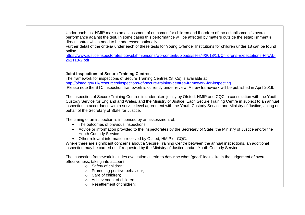| Under each test HMIP makes an assessment of outcomes for children and therefore of the establishment's overall                                                                                                           |
|--------------------------------------------------------------------------------------------------------------------------------------------------------------------------------------------------------------------------|
| performance against the test. In some cases this performance will be affected by matters outside the establishment's                                                                                                     |
| direct control which need to be addressed nationally.                                                                                                                                                                    |
| Further detail of the criteria under each of these tests for Young Offender Institutions for children under 18 can be found                                                                                              |
| online.                                                                                                                                                                                                                  |
| https://www.justiceinspectorates.gov.uk/hmiprisons/wp-content/uploads/sites/4/2018/11/Childrens-Expectations-FINAL-                                                                                                      |
| 261118-2.pdf                                                                                                                                                                                                             |
|                                                                                                                                                                                                                          |
| <b>Joint Inspections of Secure Training Centres</b>                                                                                                                                                                      |
| The framework for inspections of Secure Training Centres (STCs) is available at:                                                                                                                                         |
| http://ofsted.gov.uk/resources/inspections-of-secure-training-centres-framework-for-inspecting                                                                                                                           |
| Please note the STC inspection framework is currently under review. A new framework will be published in April 2019.                                                                                                     |
|                                                                                                                                                                                                                          |
| The inspection of Secure Training Centres is undertaken jointly by Ofsted, HMIP and CQC in consultation with the Youth                                                                                                   |
| Custody Service for England and Wales, and the Ministry of Justice. Each Secure Training Centre in subject to an annual                                                                                                  |
| inspection in accordance with a service level agreement with the Youth Custody Service and Ministry of Justice, acting on                                                                                                |
| behalf of the Secretary of State for Justice.                                                                                                                                                                            |
| The timing of an inspection is influenced by an assessment of:                                                                                                                                                           |
| The outcomes of previous inspections<br>$\bullet$                                                                                                                                                                        |
| • Advice or information provided to the inspectorates by the Secretary of State, the Ministry of Justice and/or the                                                                                                      |
| <b>Youth Custody Service</b>                                                                                                                                                                                             |
| Other relevant information received by Ofsted, HMIP or CQC.                                                                                                                                                              |
|                                                                                                                                                                                                                          |
| Where there are significant concerns about a Secure Training Centre between the annual inspections, an additional<br>inspection may be carried out if requested by the Ministry of Justice and/or Youth Custody Service. |
|                                                                                                                                                                                                                          |
| The inspection framework includes evaluation criteria to describe what "good" looks like in the judgement of overall                                                                                                     |
| effectiveness, taking into account:                                                                                                                                                                                      |
| o Safety of children;                                                                                                                                                                                                    |
| o Promoting positive behaviour;                                                                                                                                                                                          |
| $\circ$ Care of children;                                                                                                                                                                                                |
| Achievement of children;<br>$\circ$                                                                                                                                                                                      |
| Resettlement of children;<br>$\circ$                                                                                                                                                                                     |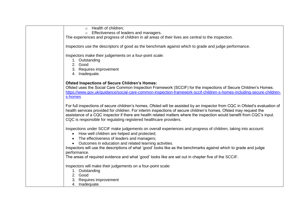o Health of children;

o Effectiveness of leaders and managers.

The experiences and progress of children in all areas of their lives are central to the inspection.

Inspectors use the descriptors of good as the benchmark against which to grade and judge performance.

Inspectors make their judgements on a four-point scale:

- 1. Outstanding
- 2. Good
- 3. Requires improvement
- 4. Inadequate.

#### **Ofsted Inspections of Secure Children's Homes:**

Ofsted uses the Social Care Common Inspection Framework (SCCIF) for the inspections of Secure Children's Homes. [https://www.gov.uk/guidance/social-care-common-inspection-framework-sccif-children-s-homes-including-secure-children](https://www.gov.uk/guidance/social-care-common-inspection-framework-sccif-children-s-homes-including-secure-children-s-homes)[s-homes](https://www.gov.uk/guidance/social-care-common-inspection-framework-sccif-children-s-homes-including-secure-children-s-homes)

For full inspections of secure children's homes, Ofsted will be assisted by an inspector from CQC in Ofsted's evaluation of health services provided for children. For interim inspections of secure children's homes, Ofsted may request the assistance of a CQC inspector if there are health related matters where the inspection would benefit from CQC's input. CQC is responsible for regulating registered healthcare providers.

Inspections under SCCIF make judgements on overall experiences and progress of children, taking into account:

- How well children are helped and protected;
- The effectiveness of leaders and managers;
- Outcomes in education and related learning activities.

Inspectors will use the descriptions of what 'good' looks like as the benchmarks against which to grade and judge performance.

The areas of required evidence and what 'good' looks like are set out in chapter five of the SCCIF.

Inspectors will make their judgements on a four-point scale:

- 1. Outstanding
- 2. Good
- 3. Requires improvement
- 4. Inadequate.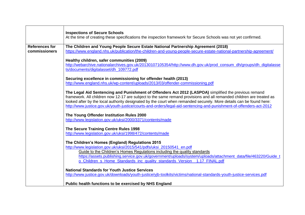|                       | <b>Inspections of Secure Schools</b><br>At the time of creating these specifications the inspection framework for Secure Schools was not yet confirmed.                                     |
|-----------------------|---------------------------------------------------------------------------------------------------------------------------------------------------------------------------------------------|
|                       |                                                                                                                                                                                             |
| <b>References for</b> | The Children and Young People Secure Estate National Partnership Agreement (2018)                                                                                                           |
| commissioners         | https://www.england.nhs.uk/publication/the-children-and-young-people-secure-estate-national-partnership-agreement/                                                                          |
|                       |                                                                                                                                                                                             |
|                       | Healthy children, safer communities (2009)<br>http://webarchive.nationalarchives.gov.uk/20130107105354/http://www.dh.gov.uk/prod_consum_dh/groups/dh_digitalasse                            |
|                       | ts/documents/digitalasset/dh 109772.pdf                                                                                                                                                     |
|                       |                                                                                                                                                                                             |
|                       | Securing excellence in commissioning for offender health (2013)                                                                                                                             |
|                       | http://www.england.nhs.uk/wp-content/uploads/2013/03/offender-commissioning.pdf                                                                                                             |
|                       |                                                                                                                                                                                             |
|                       | The Legal Aid Sentencing and Punishment of Offenders Act 2012 (LASPOA) simplified the previous remand                                                                                       |
|                       | framework. All children now 12-17 are subject to the same remand provisions and all remanded children are treated as                                                                        |
|                       | looked after by the local authority designated by the court when remanded securely. More details can be found here:                                                                         |
|                       | http://www.justice.gov.uk/youth-justice/courts-and-orders/legal-aid-sentencing-and-punishment-of-offenders-act-2012                                                                         |
|                       | The Young Offender Institution Rules 2000                                                                                                                                                   |
|                       | http://www.legislation.gov.uk/uksi/2000/3371/contents/made                                                                                                                                  |
|                       |                                                                                                                                                                                             |
|                       | The Secure Training Centre Rules 1998                                                                                                                                                       |
|                       | http://www.legislation.gov.uk/uksi/1998/472/contents/made                                                                                                                                   |
|                       |                                                                                                                                                                                             |
|                       | The Children's Homes (England) Regulations 2015                                                                                                                                             |
|                       | http://www.legislation.gov.uk/uksi/2015/541/pdfs/uksi 20150541 en.pdf                                                                                                                       |
|                       | Guide to the Children's Homes Regulations including the quality standards<br>https://assets.publishing.service.gov.uk/government/uploads/system/uploads/attachment_data/file/463220/Guide_t |
|                       | o_Children_s_Home_Standards_inc_quality_standards_Version_1.17_FINAL.pdf                                                                                                                    |
|                       |                                                                                                                                                                                             |
|                       | <b>National Standards for Youth Justice Services</b>                                                                                                                                        |
|                       | http://www.justice.gov.uk/downloads/youth-justice/yjb-toolkits/victims/national-standards-youth-justice-services.pdf                                                                        |
|                       |                                                                                                                                                                                             |
|                       | Public health functions to be exercised by NHS England                                                                                                                                      |